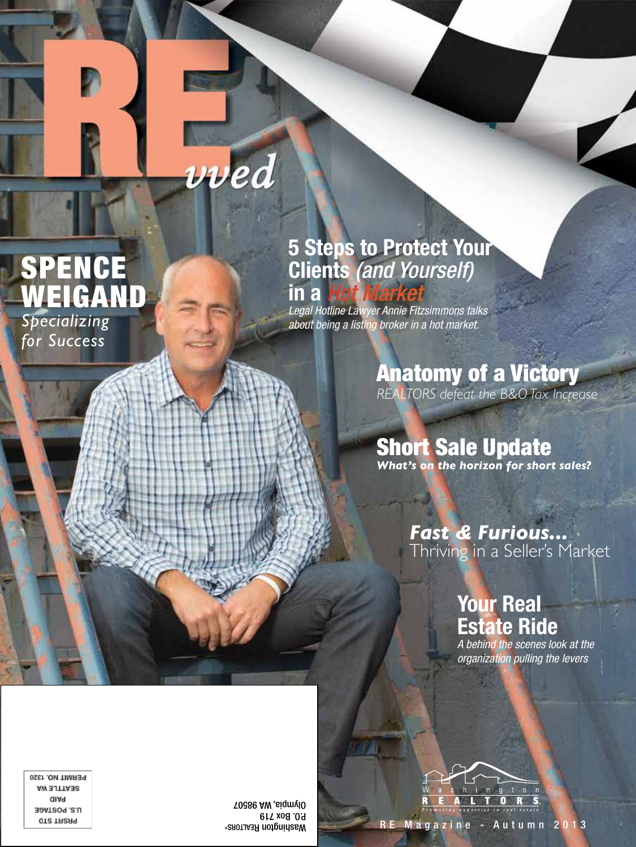# vved

### SPENCE WEIGAND *Specializing for Success*

#### **5 Steps to Protect Your Clients** *(and Yourself)*  **in a** *Hot Mark*

*Legal Hotline Lawyer Annie Fitzsimmons talks about being a listing broker in a hot market.*

### Anatomy of a Victory

*REALTORS defeat the B&O Tax Increase*

## **Short Sale Update**

*What's on the horizon for short sales?*

#### *Fast & Furious...* Thriving in a Seller's Market

### **Your Real Estate Ride**

*A behind the scenes look at the organization pulling the levers*



PERMIT NO. 1320 **AW SITTABS** alAq **JOAT209.8.U GTS TRSA9** 

P.O. Box 719 98507 Olympia, WA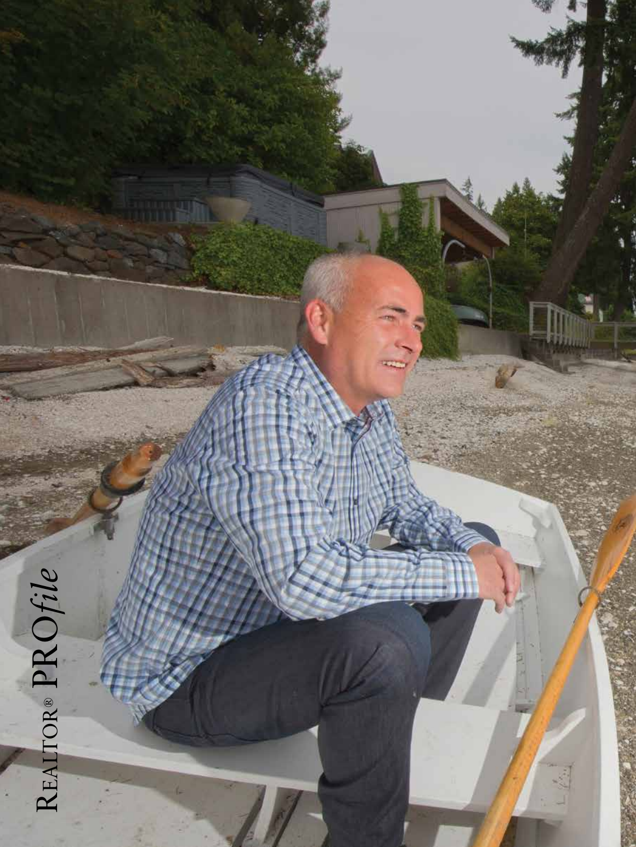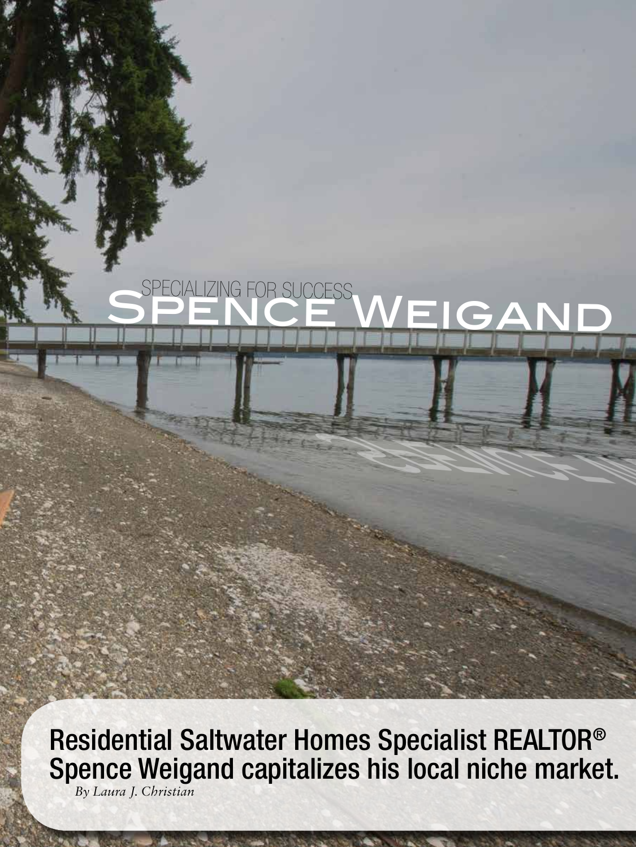### SPENCE WEIGAND ING FOR SUC

Residential Saltwater Homes Specialist REALTOR® Spence Weigand capitalizes his local niche market.*By Laura J. Christian*

14

Spence Weigand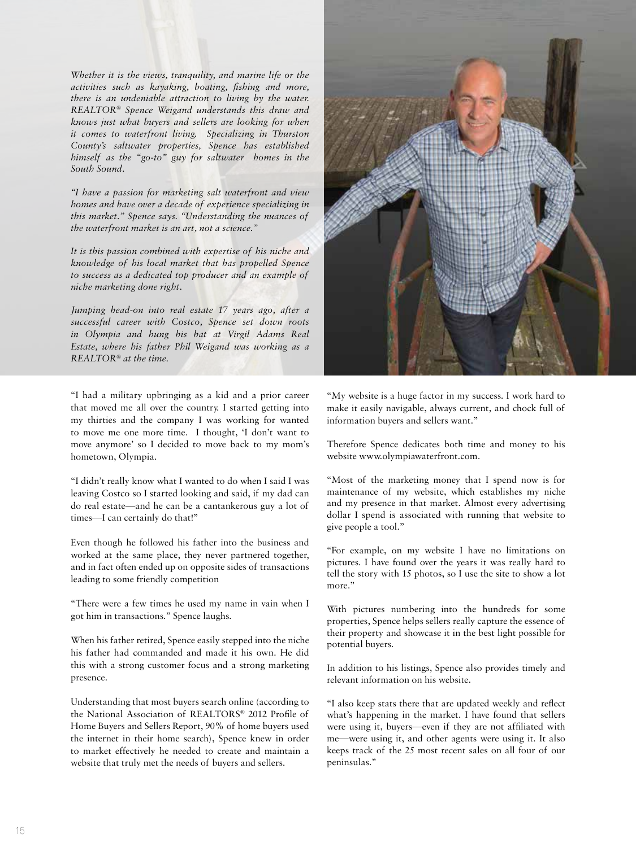*Whether it is the views, tranquility, and marine life or the activities such as kayaking, boating, fishing and more, there is an undeniable attraction to living by the water. REALTOR® Spence Weigand understands this draw and knows just what buyers and sellers are looking for when it comes to waterfront living. Specializing in Thurston County's saltwater properties, Spence has established himself as the "go-to" guy for saltwater homes in the South Sound.*

*"I have a passion for marketing salt waterfront and view homes and have over a decade of experience specializing in this market." Spence says. "Understanding the nuances of the waterfront market is an art, not a science."*

*It is this passion combined with expertise of his niche and knowledge of his local market that has propelled Spence to success as a dedicated top producer and an example of niche marketing done right.* 

*Jumping head-on into real estate 17 years ago, after a successful career with Costco, Spence set down roots in Olympia and hung his hat at Virgil Adams Real Estate, where his father Phil Weigand was working as a REALTOR® at the time.*

"I had a military upbringing as a kid and a prior career that moved me all over the country. I started getting into my thirties and the company I was working for wanted to move me one more time. I thought, 'I don't want to move anymore' so I decided to move back to my mom's hometown, Olympia.

"I didn't really know what I wanted to do when I said I was leaving Costco so I started looking and said, if my dad can do real estate—and he can be a cantankerous guy a lot of times—I can certainly do that!"

Even though he followed his father into the business and worked at the same place, they never partnered together, and in fact often ended up on opposite sides of transactions leading to some friendly competition

"There were a few times he used my name in vain when I got him in transactions." Spence laughs.

When his father retired, Spence easily stepped into the niche his father had commanded and made it his own. He did this with a strong customer focus and a strong marketing presence.

Understanding that most buyers search online (according to the National Association of REALTORS® 2012 Profile of Home Buyers and Sellers Report, 90% of home buyers used the internet in their home search), Spence knew in order to market effectively he needed to create and maintain a website that truly met the needs of buyers and sellers.



"My website is a huge factor in my success. I work hard to make it easily navigable, always current, and chock full of information buyers and sellers want."

Therefore Spence dedicates both time and money to his website www.olympiawaterfront.com.

"Most of the marketing money that I spend now is for maintenance of my website, which establishes my niche and my presence in that market. Almost every advertising dollar I spend is associated with running that website to give people a tool."

"For example, on my website I have no limitations on pictures. I have found over the years it was really hard to tell the story with 15 photos, so I use the site to show a lot more."

With pictures numbering into the hundreds for some properties, Spence helps sellers really capture the essence of their property and showcase it in the best light possible for potential buyers.

In addition to his listings, Spence also provides timely and relevant information on his website.

"I also keep stats there that are updated weekly and reflect what's happening in the market. I have found that sellers were using it, buyers—even if they are not affiliated with me—were using it, and other agents were using it. It also keeps track of the 25 most recent sales on all four of our peninsulas."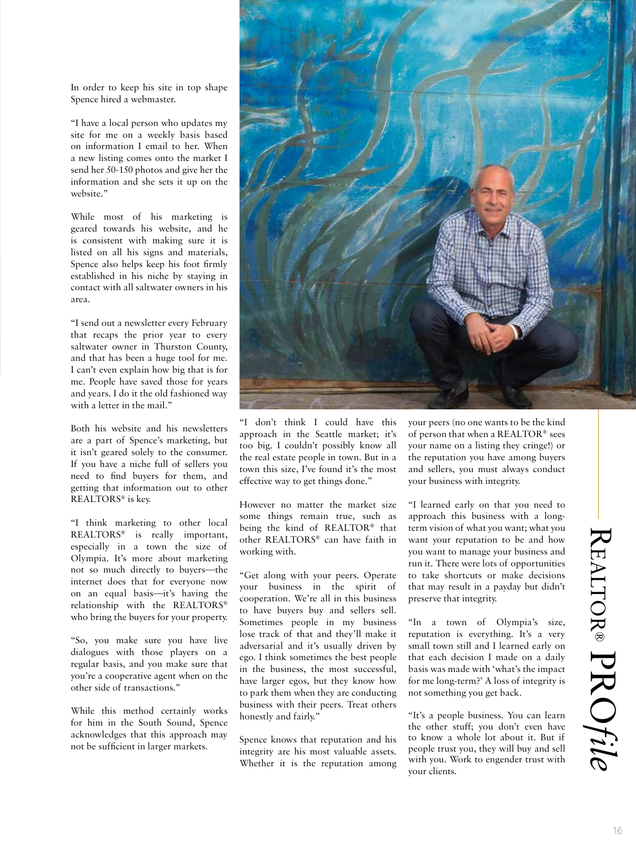In order to keep his site in top shape Spence hired a webmaster.

"I have a local person who updates my site for me on a weekly basis based on information I email to her. When a new listing comes onto the market I send her 50-150 photos and give her the information and she sets it up on the website"

While most of his marketing is geared towards his website, and he is consistent with making sure it is listed on all his signs and materials, Spence also helps keep his foot firmly established in his niche by staying in contact with all saltwater owners in his area.

"I send out a newsletter every February that recaps the prior year to every saltwater owner in Thurston County, and that has been a huge tool for me. I can't even explain how big that is for me. People have saved those for years and years. I do it the old fashioned way with a letter in the mail."

Both his website and his newsletters are a part of Spence's marketing, but it isn't geared solely to the consumer. If you have a niche full of sellers you need to find buyers for them, and getting that information out to other REALTORS® is key.

"I think marketing to other local REALTORS® is really important, especially in a town the size of Olympia. It's more about marketing not so much directly to buyers—the internet does that for everyone now on an equal basis—it's having the relationship with the REALTORS® who bring the buyers for your property.

"So, you make sure you have live dialogues with those players on a regular basis, and you make sure that you're a cooperative agent when on the other side of transactions."

While this method certainly works for him in the South Sound, Spence acknowledges that this approach may not be sufficient in larger markets.



"I don't think I could have this approach in the Seattle market; it's too big. I couldn't possibly know all the real estate people in town. But in a town this size, I've found it's the most effective way to get things done."

However no matter the market size some things remain true, such as being the kind of REALTOR® that other REALTORS® can have faith in working with.

"Get along with your peers. Operate your business in the spirit of cooperation. We're all in this business to have buyers buy and sellers sell. Sometimes people in my business lose track of that and they'll make it adversarial and it's usually driven by ego. I think sometimes the best people in the business, the most successful, have larger egos, but they know how to park them when they are conducting business with their peers. Treat others honestly and fairly."

Spence knows that reputation and his integrity are his most valuable assets. Whether it is the reputation among your peers (no one wants to be the kind of person that when a REALTOR® sees your name on a listing they cringe!) or the reputation you have among buyers and sellers, you must always conduct your business with integrity.

"I learned early on that you need to approach this business with a longterm vision of what you want; what you want your reputation to be and how you want to manage your business and run it. There were lots of opportunities to take shortcuts or make decisions that may result in a payday but didn't preserve that integrity.

"In a town of Olympia's size, reputation is everything. It's a very small town still and I learned early on that each decision I made on a daily basis was made with 'what's the impact for me long-term?' A loss of integrity is not something you get back.

"It's a people business. You can learn the other stuff; you don't even have to know a whole lot about it. But if people trust you, they will buy and sell with you. Work to engender trust with your clients.